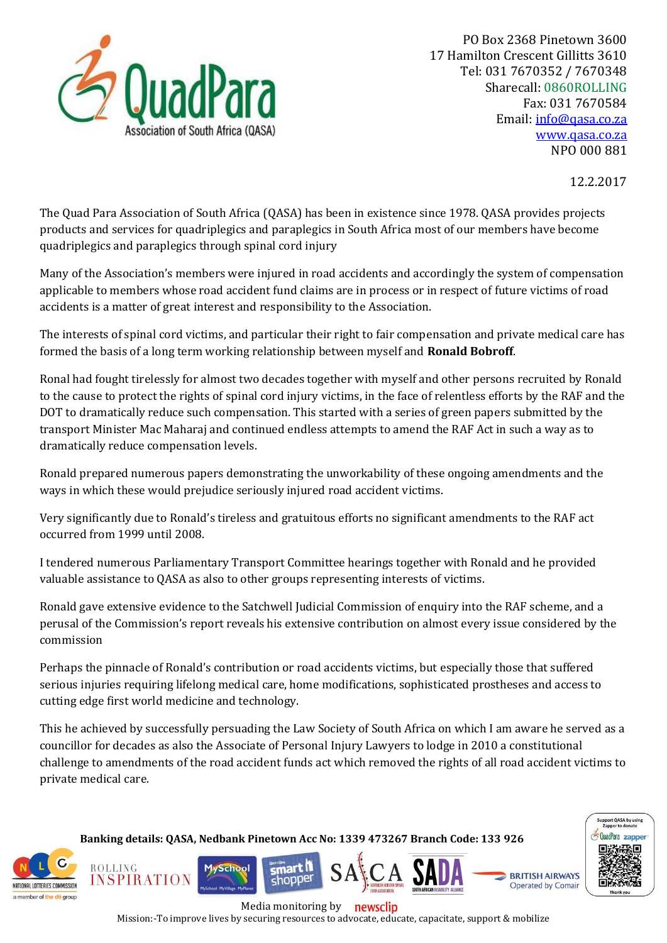

12.2.2017

The Quad Para Association of South Africa (QASA) has been in existence since 1978. QASA provides projects products and services for quadriplegics and paraplegics in South Africa most of our members have become quadriplegics and paraplegics through spinal cord injury

Many of the Association's members were injured in road accidents and accordingly the system of compensation applicable to members whose road accident fund claims are in process or in respect of future victims of road accidents is a matter of great interest and responsibility to the Association.

The interests of spinal cord victims, and particular their right to fair compensation and private medical care has formed the basis of a long term working relationship between myself and **Ronald Bobroff**.

Ronal had fought tirelessly for almost two decades together with myself and other persons recruited by Ronald to the cause to protect the rights of spinal cord injury victims, in the face of relentless efforts by the RAF and the DOT to dramatically reduce such compensation. This started with a series of green papers submitted by the transport Minister Mac Maharaj and continued endless attempts to amend the RAF Act in such a way as to dramatically reduce compensation levels.

Ronald prepared numerous papers demonstrating the unworkability of these ongoing amendments and the ways in which these would prejudice seriously injured road accident victims.

Very significantly due to Ronald's tireless and gratuitous efforts no significant amendments to the RAF act occurred from 1999 until 2008.

I tendered numerous Parliamentary Transport Committee hearings together with Ronald and he provided valuable assistance to QASA as also to other groups representing interests of victims.

Ronald gave extensive evidence to the Satchwell Judicial Commission of enquiry into the RAF scheme, and a perusal of the Commission's report reveals his extensive contribution on almost every issue considered by the commission

Perhaps the pinnacle of Ronald's contribution or road accidents victims, but especially those that suffered serious injuries requiring lifelong medical care, home modifications, sophisticated prostheses and access to cutting edge first world medicine and technology.

This he achieved by successfully persuading the Law Society of South Africa on which I am aware he served as a councillor for decades as also the Associate of Personal Injury Lawyers to lodge in 2010 a constitutional challenge to amendments of the road accident funds act which removed the rights of all road accident victims to private medical care.

 NATIONAL LOTTERIES COMMISSION a member of the dti group

**ROLLING** 

INSPIRATION

**Banking details: QASA, Nedbank Pinetown Acc No: 1339 473267 Branch Code: 133 926**

mart N

shopper

**MySchool** 



**Operated by Comair** 

Media monitoring by newsclip

Mission:-To improve lives by securing resources to advocate, educate, capacitate, support & mobilize